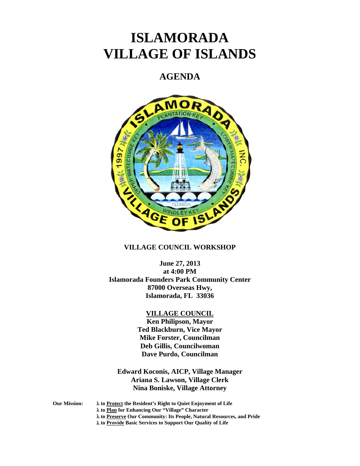# **ISLAMORADA VILLAGE OF ISLANDS**

# **AGENDA**



# **VILLAGE COUNCIL WORKSHOP**

**June 27, 2013 at 4:00 PM Islamorada Founders Park Community Center 87000 Overseas Hwy, Islamorada, FL 33036** 

#### **VILLAGE COUNCIL**

**Ken Philipson, Mayor Ted Blackburn, Vice Mayor Mike Forster, Councilman Deb Gillis, Councilwoman Dave Purdo, Councilman** 

**Edward Koconis, AICP, Village Manager Ariana S. Lawson, Village Clerk Nina Boniske, Village Attorney** 

**Our Mission: to Protect the Resident's Right to Quiet Enjoyment of Life** 

 **to Plan for Enhancing Our "Village" Character** 

 **to Preserve Our Community: Its People, Natural Resources, and Pride** 

 **to Provide Basic Services to Support Our Quality of Life**